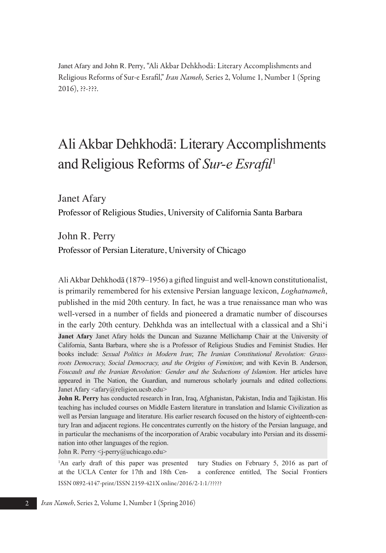Janet Afary and John R. Perry, "Ali Akbar Dehkhodā: Literary Accomplishments and Religious Reforms of Sur-e Esrafil," *Iran Nameh,* Series 2, Volume 1, Number 1 (Spring 2016), ??-???.

## Ali Akbar Dehkhodā: Literary Accomplishments and Religious Reforms of *Sur-e Esrafil*<sup>1</sup>

Janet Afary

Professor of Religious Studies, University of California Santa Barbara

John R. Perry Professor of Persian Literature, University of Chicago

Ali Akbar Dehkhodā (1879–1956) a gifted linguist and well-known constitutionalist, is primarily remembered for his extensive Persian language lexicon, *Loghatnameh*, published in the mid 20th century. In fact, he was a true renaissance man who was well-versed in a number of fields and pioneered a dramatic number of discourses in the early 20th century. Dehkhda was an intellectual with a classical and a Shi'i

**Janet Afary** Janet Afary holds the Duncan and Suzanne Mellichamp Chair at the University of California, Santa Barbara, where she is a Professor of Religious Studies and Feminist Studies. Her books include: *Sexual Politics in Modern Iran*; *The Iranian Constitutional Revolution: Grassroots Democracy, Social Democracy, and the Origins of Feminism*; and with Kevin B. Anderson, *Foucault and the Iranian Revolution: Gender and the Seductions of Islamism*. Her articles have appeared in The Nation, the Guardian, and numerous scholarly journals and edited collections. Janet Afary <afary@religion.ucsb.edu>

**John R. Perry** has conducted research in Iran, Iraq, Afghanistan, Pakistan, India and Tajikistan. His teaching has included courses on Middle Eastern literature in translation and Islamic Civilization as well as Persian language and literature. His earlier research focused on the history of eighteenth-century Iran and adjacent regions. He concentrates currently on the history of the Persian language, and in particular the mechanisms of the incorporation of Arabic vocabulary into Persian and its dissemination into other languages of the region.

John R. Perry <j-perry@uchicago.edu>

ISSN 0892-4147-print/ISSN 2159-421X online/2016/2-1:1/????? 1 An early draft of this paper was presented at the UCLA Center for 17th and 18th Century Studies on February 5, 2016 as part of a conference entitled, The Social Frontiers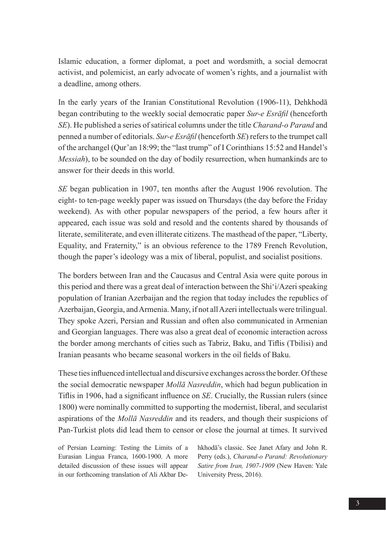Islamic education, a former diplomat, a poet and wordsmith, a social democrat activist, and polemicist, an early advocate of women's rights, and a journalist with a deadline, among others.

In the early years of the Iranian Constitutional Revolution (1906-11), Dehkhodā began contributing to the weekly social democratic paper *Sur-e Esrāfil* (henceforth *SE*). He published a series of satirical columns under the title *Charand-o Parand* and penned a number of editorials. *Sur-e Esrāfil* (henceforth *SE*) refers to the trumpet call of the archangel (Qur'an 18:99; the "last trump" of I Corinthians 15:52 and Handel's *Messiah*), to be sounded on the day of bodily resurrection, when humankinds are to answer for their deeds in this world.

*SE* began publication in 1907, ten months after the August 1906 revolution. The eight- to ten-page weekly paper was issued on Thursdays (the day before the Friday weekend). As with other popular newspapers of the period, a few hours after it appeared, each issue was sold and resold and the contents shared by thousands of literate, semiliterate, and even illiterate citizens. The masthead of the paper, "Liberty, Equality, and Fraternity," is an obvious reference to the 1789 French Revolution, though the paper's ideology was a mix of liberal, populist, and socialist positions.

The borders between Iran and the Caucasus and Central Asia were quite porous in this period and there was a great deal of interaction between the Shi'i/Azeri speaking population of Iranian Azerbaijan and the region that today includes the republics of Azerbaijan, Georgia, and Armenia. Many, if not all Azeri intellectuals were trilingual. They spoke Azeri, Persian and Russian and often also communicated in Armenian and Georgian languages. There was also a great deal of economic interaction across the border among merchants of cities such as Tabriz, Baku, and Tiflis (Tbilisi) and Iranian peasants who became seasonal workers in the oil fields of Baku.

These ties influenced intellectual and discursive exchanges across the border. Of these the social democratic newspaper *Mollā Nasreddin*, which had begun publication in Tiflis in 1906, had a significant influence on *SE*. Crucially, the Russian rulers (since 1800) were nominally committed to supporting the modernist, liberal, and secularist aspirations of the *Mollā Nasreddin* and its readers, and though their suspicions of Pan-Turkist plots did lead them to censor or close the journal at times. It survived

of Persian Learning: Testing the Limits of a Eurasian Lingua Franca, 1600-1900. A more detailed discussion of these issues will appear in our forthcoming translation of Ali Akbar Dehkhodā's classic. See Janet Afary and John R. Perry (eds.), *Charand-o Parand: Revolutionary Satire from Iran, 1907-1909* (New Haven: Yale University Press, 2016).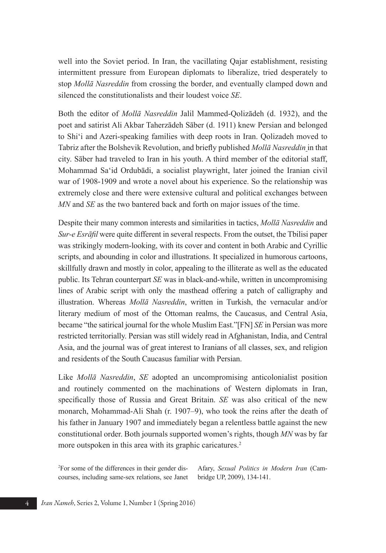well into the Soviet period. In Iran, the vacillating Qajar establishment, resisting intermittent pressure from European diplomats to liberalize, tried desperately to stop *Mollā Nasreddin* from crossing the border, and eventually clamped down and silenced the constitutionalists and their loudest voice *SE*.

Both the editor of *Mollā Nasreddin* Jalil Mammed-Qolizādeh (d. 1932), and the poet and satirist Ali Akbar Taherzādeh Sāber (d. 1911) knew Persian and belonged to Shi'i and Azeri-speaking families with deep roots in Iran. Qolizadeh moved to Tabriz after the Bolshevik Revolution, and briefly published *Mollā Nasreddin* in that city. Sāber had traveled to Iran in his youth. A third member of the editorial staff, Mohammad Sa'id Ordubādi, a socialist playwright, later joined the Iranian civil war of 1908-1909 and wrote a novel about his experience. So the relationship was extremely close and there were extensive cultural and political exchanges between *MN* and *SE* as the two bantered back and forth on major issues of the time.

Despite their many common interests and similarities in tactics, *Mollā Nasreddin* and *Sur-e Esrāfil* were quite different in several respects. From the outset, the Tbilisi paper was strikingly modern-looking, with its cover and content in both Arabic and Cyrillic scripts, and abounding in color and illustrations. It specialized in humorous cartoons, skillfully drawn and mostly in color, appealing to the illiterate as well as the educated public. Its Tehran counterpart *SE* was in black-and-while, written in uncompromising lines of Arabic script with only the masthead offering a patch of calligraphy and illustration. Whereas *Mollā Nasreddin*, written in Turkish, the vernacular and/or literary medium of most of the Ottoman realms, the Caucasus, and Central Asia, became "the satirical journal for the whole Muslim East."[FN] *SE* in Persian was more restricted territorially. Persian was still widely read in Afghanistan, India, and Central Asia, and the journal was of great interest to Iranians of all classes, sex, and religion and residents of the South Caucasus familiar with Persian.

Like *Mollā Nasreddin*, *SE* adopted an uncompromising anticolonialist position and routinely commented on the machinations of Western diplomats in Iran, specifically those of Russia and Great Britain. *SE* was also critical of the new monarch, Mohammad-Ali Shah (r. 1907–9), who took the reins after the death of his father in January 1907 and immediately began a relentless battle against the new constitutional order. Both journals supported women's rights, though *MN* was by far more outspoken in this area with its graphic caricatures.<sup>2</sup>

2 For some of the differences in their gender discourses, including same-sex relations, see Janet

Afary, *Sexual Politics in Modern Iran* (Cambridge UP, 2009), 134-141.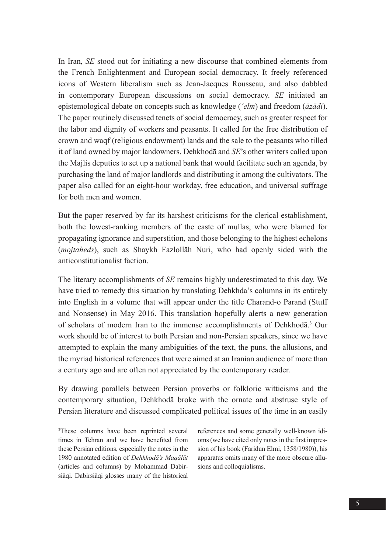In Iran, *SE* stood out for initiating a new discourse that combined elements from the French Enlightenment and European social democracy. It freely referenced icons of Western liberalism such as Jean-Jacques Rousseau, and also dabbled in contemporary European discussions on social democracy. *SE* initiated an epistemological debate on concepts such as knowledge (*'elm*) and freedom (*āzādi*). The paper routinely discussed tenets of social democracy, such as greater respect for the labor and dignity of workers and peasants. It called for the free distribution of crown and waqf (religious endowment) lands and the sale to the peasants who tilled it of land owned by major landowners. Dehkhodā and *SE*'s other writers called upon the Majlis deputies to set up a national bank that would facilitate such an agenda, by purchasing the land of major landlords and distributing it among the cultivators. The paper also called for an eight-hour workday, free education, and universal suffrage for both men and women.

But the paper reserved by far its harshest criticisms for the clerical establishment, both the lowest-ranking members of the caste of mullas, who were blamed for propagating ignorance and superstition, and those belonging to the highest echelons (*mojtaheds*), such as Shaykh Fazlollāh Nuri, who had openly sided with the anticonstitutionalist faction.

The literary accomplishments of *SE* remains highly underestimated to this day. We have tried to remedy this situation by translating Dehkhda's columns in its entirely into English in a volume that will appear under the title Charand-o Parand (Stuff and Nonsense) in May 2016. This translation hopefully alerts a new generation of scholars of modern Iran to the immense accomplishments of Dehkhodā.<sup>3</sup> Our work should be of interest to both Persian and non-Persian speakers, since we have attempted to explain the many ambiguities of the text, the puns, the allusions, and the myriad historical references that were aimed at an Iranian audience of more than a century ago and are often not appreciated by the contemporary reader.

By drawing parallels between Persian proverbs or folkloric witticisms and the contemporary situation, Dehkhodā broke with the ornate and abstruse style of Persian literature and discussed complicated political issues of the time in an easily

3 These columns have been reprinted several times in Tehran and we have benefited from these Persian editions, especially the notes in the 1980 annotated edition of *Dehkhodā's Maqālāt*  (articles and columns) by Mohammad Dabirsiāqi. Dabirsiāqi glosses many of the historical

references and some generally well-known idioms (we have cited only notes in the first impression of his book (Faridun Elmi, 1358/1980)), his apparatus omits many of the more obscure allusions and colloquialisms.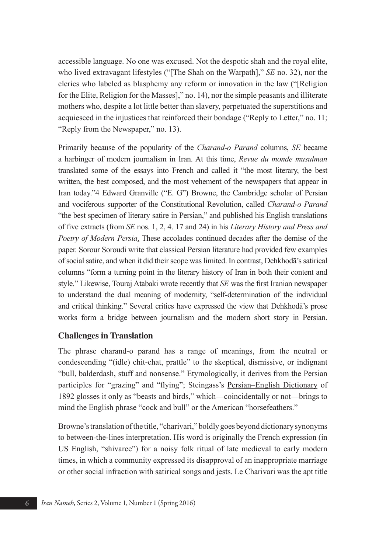accessible language. No one was excused. Not the despotic shah and the royal elite, who lived extravagant lifestyles ("[The Shah on the Warpath]," *SE* no. 32), nor the clerics who labeled as blasphemy any reform or innovation in the law ("[Religion for the Elite, Religion for the Masses]," no. 14), nor the simple peasants and illiterate mothers who, despite a lot little better than slavery, perpetuated the superstitions and acquiesced in the injustices that reinforced their bondage ("Reply to Letter," no. 11; "Reply from the Newspaper," no. 13).

Primarily because of the popularity of the *Charand-o Parand* columns, *SE* became a harbinger of modern journalism in Iran. At this time, *Revue du monde musulman*  translated some of the essays into French and called it "the most literary, the best written, the best composed, and the most vehement of the newspapers that appear in Iran today."4 Edward Granville ("E. G") Browne, the Cambridge scholar of Persian and vociferous supporter of the Constitutional Revolution, called *Charand-o Parand* "the best specimen of literary satire in Persian," and published his English translations of five extracts (from *SE* nos. 1, 2, 4. 17 and 24) in his *Literary History and Press and Poetry of Modern Persia*. These accolades continued decades after the demise of the paper. Sorour Soroudi write that classical Persian literature had provided few examples of social satire, and when it did their scope was limited. In contrast, Dehkhodā's satirical columns "form a turning point in the literary history of Iran in both their content and style." Likewise, Touraj Atabaki wrote recently that *SE* was the first Iranian newspaper to understand the dual meaning of modernity, "self-determination of the individual and critical thinking." Several critics have expressed the view that Dehkhodā's prose works form a bridge between journalism and the modern short story in Persian.

## **Challenges in Translation**

The phrase charand-o parand has a range of meanings, from the neutral or condescending "(idle) chit-chat, prattle" to the skeptical, dismissive, or indignant "bull, balderdash, stuff and nonsense." Etymologically, it derives from the Persian participles for "grazing" and "flying"; Steingass's Persian–English Dictionary of 1892 glosses it only as "beasts and birds," which—coincidentally or not—brings to mind the English phrase "cock and bull" or the American "horsefeathers."

Browne's translation of the title, "charivari," boldly goes beyond dictionary synonyms to between-the-lines interpretation. His word is originally the French expression (in US English, "shivaree") for a noisy folk ritual of late medieval to early modern times, in which a community expressed its disapproval of an inappropriate marriage or other social infraction with satirical songs and jests. Le Charivari was the apt title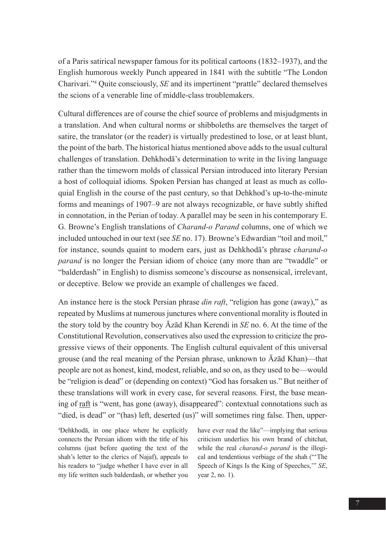of a Paris satirical newspaper famous for its political cartoons (1832–1937), and the English humorous weekly Punch appeared in 1841 with the subtitle "The London Charivari."4 Quite consciously, *SE* and its impertinent "prattle" declared themselves the scions of a venerable line of middle-class troublemakers.

Cultural differences are of course the chief source of problems and misjudgments in a translation. And when cultural norms or shibboleths are themselves the target of satire, the translator (or the reader) is virtually predestined to lose, or at least blunt, the point of the barb. The historical hiatus mentioned above adds to the usual cultural challenges of translation. Dehkhodā's determination to write in the living language rather than the timeworn molds of classical Persian introduced into literary Persian a host of colloquial idioms. Spoken Persian has changed at least as much as colloquial English in the course of the past century, so that Dehkhod's up-to-the-minute forms and meanings of 1907–9 are not always recognizable, or have subtly shifted in connotation, in the Perian of today. A parallel may be seen in his contemporary E. G. Browne's English translations of *Charand-o Parand* columns, one of which we included untouched in our text (see *SE* no. 17). Browne's Edwardian "toil and moil," for instance, sounds quaint to modern ears, just as Dehkhodā's phrase *charand-o parand* is no longer the Persian idiom of choice (any more than are "twaddle" or "balderdash" in English) to dismiss someone's discourse as nonsensical, irrelevant, or deceptive. Below we provide an example of challenges we faced.

An instance here is the stock Persian phrase *din raft*, "religion has gone (away)," as repeated by Muslims at numerous junctures where conventional morality is flouted in the story told by the country boy Āzād Khan Kerendi in *SE* no. 6. At the time of the Constitutional Revolution, conservatives also used the expression to criticize the progressive views of their opponents. The English cultural equivalent of this universal grouse (and the real meaning of the Persian phrase, unknown to Āzād Khan)—that people are not as honest, kind, modest, reliable, and so on, as they used to be—would be "religion is dead" or (depending on context) "God has forsaken us." But neither of these translations will work in every case, for several reasons. First, the base meaning of raft is "went, has gone (away), disappeared": contextual connotations such as "died, is dead" or "(has) left, deserted (us)" will sometimes ring false. Then, upper-

4 Dehkhodā, in one place where he explicitly connects the Persian idiom with the title of his columns (just before quoting the text of the shah's letter to the clerics of Najaf), appeals to his readers to "judge whether I have ever in all my life written such balderdash, or whether you

have ever read the like"—implying that serious criticism underlies his own brand of chitchat, while the real *charand-o parand* is the illogical and tendentious verbiage of the shah ("'The Speech of Kings Is the King of Speeches,'" *SE*, year 2, no. 1).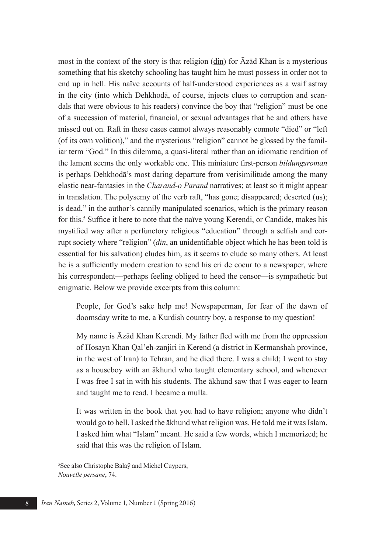most in the context of the story is that religion  $(\underline{din})$  for  $\overline{Az\overline{a}}d$  Khan is a mysterious something that his sketchy schooling has taught him he must possess in order not to end up in hell. His naïve accounts of half-understood experiences as a waif astray in the city (into which Dehkhodā, of course, injects clues to corruption and scandals that were obvious to his readers) convince the boy that "religion" must be one of a succession of material, financial, or sexual advantages that he and others have missed out on. Raft in these cases cannot always reasonably connote "died" or "left (of its own volition)," and the mysterious "religion" cannot be glossed by the familiar term "God." In this dilemma, a quasi-literal rather than an idiomatic rendition of the lament seems the only workable one. This miniature first-person *bildungsroman* is perhaps Dehkhodā's most daring departure from verisimilitude among the many elastic near-fantasies in the *Charand-o Parand* narratives; at least so it might appear in translation. The polysemy of the verb raft, "has gone; disappeared; deserted (us); is dead," in the author's cannily manipulated scenarios, which is the primary reason for this.<sup>5</sup> Suffice it here to note that the naïve young Kerendi, or Candide, makes his mystified way after a perfunctory religious "education" through a selfish and corrupt society where "religion" (*din*, an unidentifiable object which he has been told is essential for his salvation) eludes him, as it seems to elude so many others. At least he is a sufficiently modern creation to send his cri de coeur to a newspaper, where his correspondent—perhaps feeling obliged to heed the censor—is sympathetic but enigmatic. Below we provide excerpts from this column:

People, for God's sake help me! Newspaperman, for fear of the dawn of doomsday write to me, a Kurdish country boy, a response to my question!

My name is Āzād Khan Kerendi. My father fled with me from the oppression of Hosayn Khan Qal'eh-zanjiri in Kerend (a district in Kermanshah province, in the west of Iran) to Tehran, and he died there. I was a child; I went to stay as a houseboy with an ākhund who taught elementary school, and whenever I was free I sat in with his students. The ākhund saw that I was eager to learn and taught me to read. I became a mulla.

It was written in the book that you had to have religion; anyone who didn't would go to hell. I asked the ākhund what religion was. He told me it was Islam. I asked him what "Islam" meant. He said a few words, which I memorized; he said that this was the religion of Islam.

5 See also Christophe Balaÿ and Michel Cuypers, *Nouvelle persane*, 74.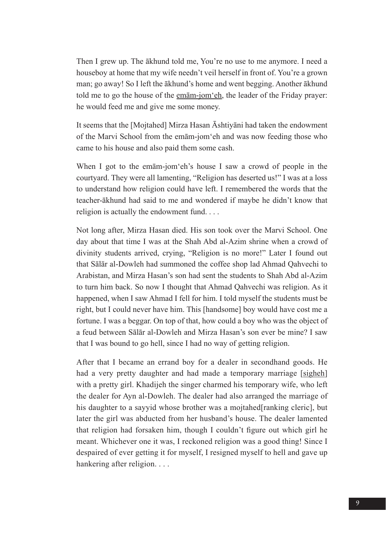Then I grew up. The ākhund told me, You're no use to me anymore. I need a houseboy at home that my wife needn't veil herself in front of. You're a grown man; go away! So I left the ākhund's home and went begging. Another ākhund told me to go the house of the emām-jom'eh, the leader of the Friday prayer: he would feed me and give me some money.

It seems that the [Mojtahed] Mirza Hasan Āshtiyāni had taken the endowment of the Marvi School from the emām-jom'eh and was now feeding those who came to his house and also paid them some cash.

When I got to the emām-jom'eh's house I saw a crowd of people in the courtyard. They were all lamenting, "Religion has deserted us!" I was at a loss to understand how religion could have left. I remembered the words that the teacher-ākhund had said to me and wondered if maybe he didn't know that religion is actually the endowment fund. . . .

Not long after, Mirza Hasan died. His son took over the Marvi School. One day about that time I was at the Shah Abd al-Azim shrine when a crowd of divinity students arrived, crying, "Religion is no more!" Later I found out that Sālār al-Dowleh had summoned the coffee shop lad Ahmad Qahvechi to Arabistan, and Mirza Hasan's son had sent the students to Shah Abd al-Azim to turn him back. So now I thought that Ahmad Qahvechi was religion. As it happened, when I saw Ahmad I fell for him. I told myself the students must be right, but I could never have him. This [handsome] boy would have cost me a fortune. I was a beggar. On top of that, how could a boy who was the object of a feud between Sālār al-Dowleh and Mirza Hasan's son ever be mine? I saw that I was bound to go hell, since I had no way of getting religion.

After that I became an errand boy for a dealer in secondhand goods. He had a very pretty daughter and had made a temporary marriage [sigheh] with a pretty girl. Khadijeh the singer charmed his temporary wife, who left the dealer for Ayn al-Dowleh. The dealer had also arranged the marriage of his daughter to a sayyid whose brother was a mojtahed[ranking cleric], but later the girl was abducted from her husband's house. The dealer lamented that religion had forsaken him, though I couldn't figure out which girl he meant. Whichever one it was, I reckoned religion was a good thing! Since I despaired of ever getting it for myself, I resigned myself to hell and gave up hankering after religion. . . .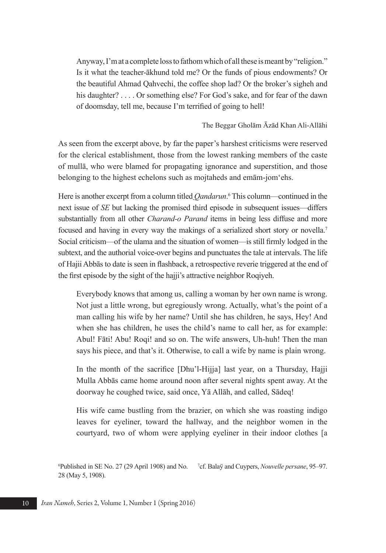Anyway, I'm at a complete loss to fathom which of all these is meant by "religion." Is it what the teacher-ākhund told me? Or the funds of pious endowments? Or the beautiful Ahmad Qahvechi, the coffee shop lad? Or the broker's sigheh and his daughter? . . . . Or something else? For God's sake, and for fear of the dawn of doomsday, tell me, because I'm terrified of going to hell!

The Beggar Gholām Āzād Khan Ali-Allāhi

As seen from the excerpt above, by far the paper's harshest criticisms were reserved for the clerical establishment, those from the lowest ranking members of the caste of mullā, who were blamed for propagating ignorance and superstition, and those belonging to the highest echelons such as mojtaheds and emām-jom'ehs.

Here is another excerpt from a column titled *Qandarun*. 6 This column—continued in the next issue of *SE* but lacking the promised third episode in subsequent issues—differs substantially from all other *Charand-o Parand* items in being less diffuse and more focused and having in every way the makings of a serialized short story or novella.7 Social criticism—of the ulama and the situation of women—is still firmly lodged in the subtext, and the authorial voice-over begins and punctuates the tale at intervals. The life of Hajii Abbās to date is seen in flashback, a retrospective reverie triggered at the end of the first episode by the sight of the hajji's attractive neighbor Roqiyeh.

Everybody knows that among us, calling a woman by her own name is wrong. Not just a little wrong, but egregiously wrong. Actually, what's the point of a man calling his wife by her name? Until she has children, he says, Hey! And when she has children, he uses the child's name to call her, as for example: Abul! Fāti! Abu! Roqi! and so on. The wife answers, Uh-huh! Then the man says his piece, and that's it. Otherwise, to call a wife by name is plain wrong.

In the month of the sacrifice [Dhu'l-Hijja] last year, on a Thursday, Hajji Mulla Abbās came home around noon after several nights spent away. At the doorway he coughed twice, said once, Yā Allāh, and called, Sādeq!

His wife came bustling from the brazier, on which she was roasting indigo leaves for eyeliner, toward the hallway, and the neighbor women in the courtyard, two of whom were applying eyeliner in their indoor clothes [a

6 Published in SE No. 27 (29 April 1908) and No. 28 (May 5, 1908). 7 cf. Balaÿ and Cuypers, *Nouvelle persane*, 95–97.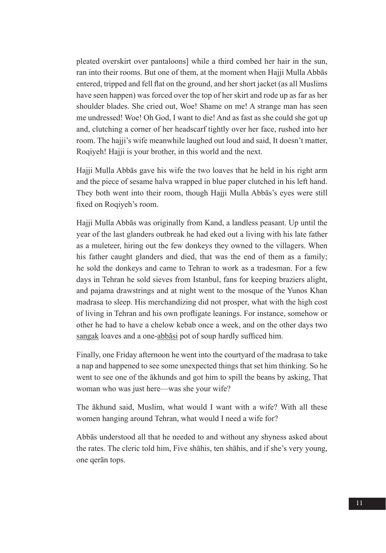pleated overskirt over pantaloons] while a third combed her hair in the sun, ran into their rooms. But one of them, at the moment when Hajji Mulla Abbās entered, tripped and fell flat on the ground, and her short jacket (as all Muslims have seen happen) was forced over the top of her skirt and rode up as far as her shoulder blades. She cried out, Woe! Shame on me! A strange man has seen me undressed! Woe! Oh God, I want to die! And as fast as she could she got up and, clutching a corner of her headscarf tightly over her face, rushed into her room. The hajji's wife meanwhile laughed out loud and said, It doesn't matter, Roqiyeh! Hajji is your brother, in this world and the next.

Hajji Mulla Abbās gave his wife the two loaves that he held in his right arm and the piece of sesame halva wrapped in blue paper clutched in his left hand. They both went into their room, though Hajji Mulla Abbās's eyes were still fixed on Roqiyeh's room.

Hajji Mulla Abbās was originally from Kand, a landless peasant. Up until the year of the last glanders outbreak he had eked out a living with his late father as a muleteer, hiring out the few donkeys they owned to the villagers. When his father caught glanders and died, that was the end of them as a family; he sold the donkeys and came to Tehran to work as a tradesman. For a few days in Tehran he sold sieves from Istanbul, fans for keeping braziers alight, and pajama drawstrings and at night went to the mosque of the Yunos Khan madrasa to sleep. His merchandizing did not prosper, what with the high cost of living in Tehran and his own profligate leanings. For instance, somehow or other he had to have a chelow kebab once a week, and on the other days two sangak loaves and a one-abbāsi pot of soup hardly sufficed him.

Finally, one Friday afternoon he went into the courtyard of the madrasa to take a nap and happened to see some unexpected things that set him thinking. So he went to see one of the ākhunds and got him to spill the beans by asking, That woman who was just here—was she your wife?

The ākhund said, Muslim, what would I want with a wife? With all these women hanging around Tehran, what would I need a wife for?

Abbās understood all that he needed to and without any shyness asked about the rates. The cleric told him, Five shāhis, ten shāhis, and if she's very young, one qerān tops.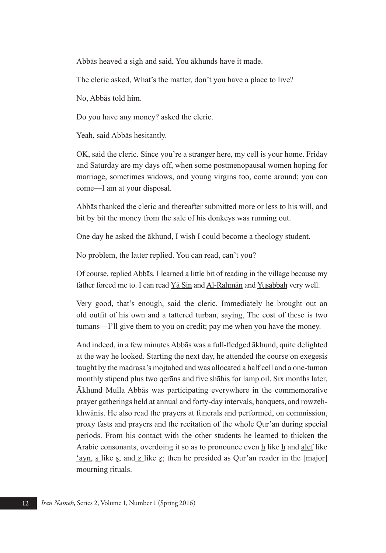Abbās heaved a sigh and said, You ākhunds have it made.

The cleric asked, What's the matter, don't you have a place to live?

No, Abbās told him.

Do you have any money? asked the cleric.

Yeah, said Abbās hesitantly.

OK, said the cleric. Since you're a stranger here, my cell is your home. Friday and Saturday are my days off, when some postmenopausal women hoping for marriage, sometimes widows, and young virgins too, come around; you can come—I am at your disposal.

Abbās thanked the cleric and thereafter submitted more or less to his will, and bit by bit the money from the sale of his donkeys was running out.

One day he asked the ākhund, I wish I could become a theology student.

No problem, the latter replied. You can read, can't you?

Of course, replied Abbās. I learned a little bit of reading in the village because my father forced me to. I can read Yā Sin and Al-Rahmān and Yusabbah very well.

Very good, that's enough, said the cleric. Immediately he brought out an old outfit of his own and a tattered turban, saying, The cost of these is two tumans—I'll give them to you on credit; pay me when you have the money.

And indeed, in a few minutes Abbās was a full-fledged ākhund, quite delighted at the way he looked. Starting the next day, he attended the course on exegesis taught by the madrasa's mojtahed and was allocated a half cell and a one-tuman monthly stipend plus two qerāns and five shāhis for lamp oil. Six months later, Ākhund Mulla Abbās was participating everywhere in the commemorative prayer gatherings held at annual and forty-day intervals, banquets, and rowzehkhwānis. He also read the prayers at funerals and performed, on commission, proxy fasts and prayers and the recitation of the whole Qur'an during special periods. From his contact with the other students he learned to thicken the Arabic consonants, overdoing it so as to pronounce even h like h and alef like 'ayn, s like  $s$ , and  $z$  like  $z$ ; then he presided as Qur'an reader in the [major] mourning rituals.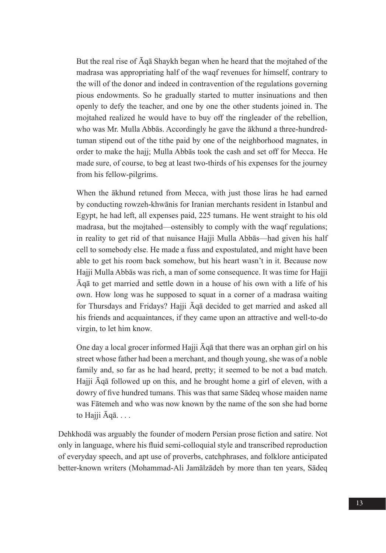But the real rise of Āqā Shaykh began when he heard that the mojtahed of the madrasa was appropriating half of the waqf revenues for himself, contrary to the will of the donor and indeed in contravention of the regulations governing pious endowments. So he gradually started to mutter insinuations and then openly to defy the teacher, and one by one the other students joined in. The mojtahed realized he would have to buy off the ringleader of the rebellion, who was Mr. Mulla Abbās. Accordingly he gave the ākhund a three-hundredtuman stipend out of the tithe paid by one of the neighborhood magnates, in order to make the hajj; Mulla Abbās took the cash and set off for Mecca. He made sure, of course, to beg at least two-thirds of his expenses for the journey from his fellow-pilgrims.

When the ākhund retuned from Mecca, with just those liras he had earned by conducting rowzeh-khwānis for Iranian merchants resident in Istanbul and Egypt, he had left, all expenses paid, 225 tumans. He went straight to his old madrasa, but the mojtahed—ostensibly to comply with the waqf regulations; in reality to get rid of that nuisance Hajji Mulla Abbās—had given his half cell to somebody else. He made a fuss and expostulated, and might have been able to get his room back somehow, but his heart wasn't in it. Because now Hajji Mulla Abbās was rich, a man of some consequence. It was time for Hajji Āqā to get married and settle down in a house of his own with a life of his own. How long was he supposed to squat in a corner of a madrasa waiting for Thursdays and Fridays? Hajji Āqā decided to get married and asked all his friends and acquaintances, if they came upon an attractive and well-to-do virgin, to let him know.

One day a local grocer informed Hajji Āqā that there was an orphan girl on his street whose father had been a merchant, and though young, she was of a noble family and, so far as he had heard, pretty; it seemed to be not a bad match. Hajji Āqā followed up on this, and he brought home a girl of eleven, with a dowry of five hundred tumans. This was that same Sādeq whose maiden name was Fātemeh and who was now known by the name of the son she had borne to Hajji Āqā. . . .

Dehkhodā was arguably the founder of modern Persian prose fiction and satire. Not only in language, where his fluid semi-colloquial style and transcribed reproduction of everyday speech, and apt use of proverbs, catchphrases, and folklore anticipated better-known writers (Mohammad-Ali Jamālzādeh by more than ten years, Sādeq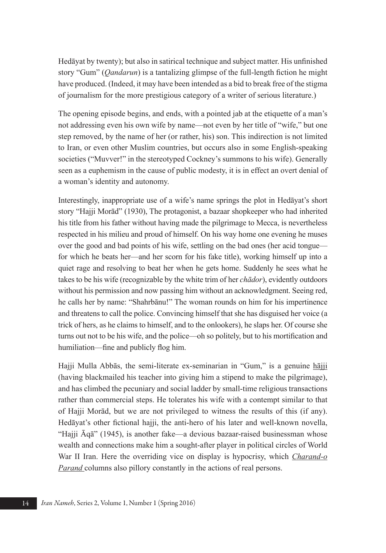Hedāyat by twenty); but also in satirical technique and subject matter. His unfinished story "Gum" (*Qandarun*) is a tantalizing glimpse of the full-length fiction he might have produced. (Indeed, it may have been intended as a bid to break free of the stigma of journalism for the more prestigious category of a writer of serious literature.)

The opening episode begins, and ends, with a pointed jab at the etiquette of a man's not addressing even his own wife by name—not even by her title of "wife," but one step removed, by the name of her (or rather, his) son. This indirection is not limited to Iran, or even other Muslim countries, but occurs also in some English-speaking societies ("Muvver!" in the stereotyped Cockney's summons to his wife). Generally seen as a euphemism in the cause of public modesty, it is in effect an overt denial of a woman's identity and autonomy.

Interestingly, inappropriate use of a wife's name springs the plot in Hedāyat's short story "Hajji Morād" (1930), The protagonist, a bazaar shopkeeper who had inherited his title from his father without having made the pilgrimage to Mecca, is nevertheless respected in his milieu and proud of himself. On his way home one evening he muses over the good and bad points of his wife, settling on the bad ones (her acid tongue for which he beats her—and her scorn for his fake title), working himself up into a quiet rage and resolving to beat her when he gets home. Suddenly he sees what he takes to be his wife (recognizable by the white trim of her *chādor*), evidently outdoors without his permission and now passing him without an acknowledgment. Seeing red, he calls her by name: "Shahrbānu!" The woman rounds on him for his impertinence and threatens to call the police. Convincing himself that she has disguised her voice (a trick of hers, as he claims to himself, and to the onlookers), he slaps her. Of course she turns out not to be his wife, and the police—oh so politely, but to his mortification and humiliation—fine and publicly flog him.

Hajji Mulla Abbās, the semi-literate ex-seminarian in "Gum," is a genuine hājji (having blackmailed his teacher into giving him a stipend to make the pilgrimage), and has climbed the pecuniary and social ladder by small-time religious transactions rather than commercial steps. He tolerates his wife with a contempt similar to that of Hajji Morād, but we are not privileged to witness the results of this (if any). Hedāyat's other fictional hajji, the anti-hero of his later and well-known novella, "Hajji Āqā" (1945), is another fake—a devious bazaar-raised businessman whose wealth and connections make him a sought-after player in political circles of World War II Iran. Here the overriding vice on display is hypocrisy, which *Charand-o Parand* columns also pillory constantly in the actions of real persons.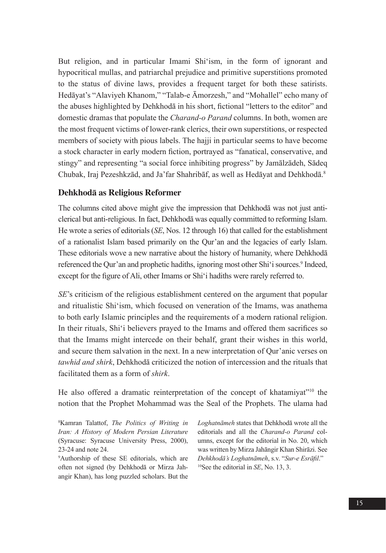But religion, and in particular Imami Shi'ism, in the form of ignorant and hypocritical mullas, and patriarchal prejudice and primitive superstitions promoted to the status of divine laws, provides a frequent target for both these satirists. Hedāyat's "Alaviyeh Khanom," "Talab-e Āmorzesh," and "Mohallel" echo many of the abuses highlighted by Dehkhodā in his short, fictional "letters to the editor" and domestic dramas that populate the *Charand-o Parand* columns. In both, women are the most frequent victims of lower-rank clerics, their own superstitions, or respected members of society with pious labels. The hajji in particular seems to have become a stock character in early modern fiction, portrayed as "fanatical, conservative, and stingy" and representing "a social force inhibiting progress" by Jamālzādeh, Sādeq Chubak, Iraj Pezeshkzād, and Ja'far Shahribāf, as well as Hedāyat and Dehkhodā.8

## **Dehkhodā as Religious Reformer**

The columns cited above might give the impression that Dehkhodā was not just anticlerical but anti-religious. In fact, Dehkhodā was equally committed to reforming Islam. He wrote a series of editorials (*SE*, Nos. 12 through 16) that called for the establishment of a rationalist Islam based primarily on the Qur'an and the legacies of early Islam. These editorials wove a new narrative about the history of humanity, where Dehkhodā referenced the Qur'an and prophetic hadiths, ignoring most other Shi'i sources.<sup>9</sup> Indeed, except for the figure of Ali, other Imams or Shi'i hadiths were rarely referred to.

*SE*'s criticism of the religious establishment centered on the argument that popular and ritualistic Shi'ism, which focused on veneration of the Imams, was anathema to both early Islamic principles and the requirements of a modern rational religion. In their rituals, Shi'i believers prayed to the Imams and offered them sacrifices so that the Imams might intercede on their behalf, grant their wishes in this world, and secure them salvation in the next. In a new interpretation of Qur'anic verses on *tawhid and shirk*, Dehkhodā criticized the notion of intercession and the rituals that facilitated them as a form of *shirk*.

He also offered a dramatic reinterpretation of the concept of khatamiyat"<sup>10</sup> the notion that the Prophet Mohammad was the Seal of the Prophets. The ulama had

8 Kamran Talattof, *The Politics of Writing in Iran: A History of Modern Persian Literature* (Syracuse: Syracuse University Press, 2000), 23-24 and note 24.

9 Authorship of these SE editorials, which are often not signed (by Dehkhodā or Mirza Jahangir Khan), has long puzzled scholars. But the *Loghatnāmeh* states that Dehkhodā wrote all the editorials and all the *Charand-o Parand* columns, except for the editorial in No. 20, which was written by Mirza Jahāngir Khan Shirāzi. See *Dehkhodā's Loghatnāmeh*, s.v. "*Sur-e Esrāfil*." 10See the editorial in *SE*, No. 13, 3.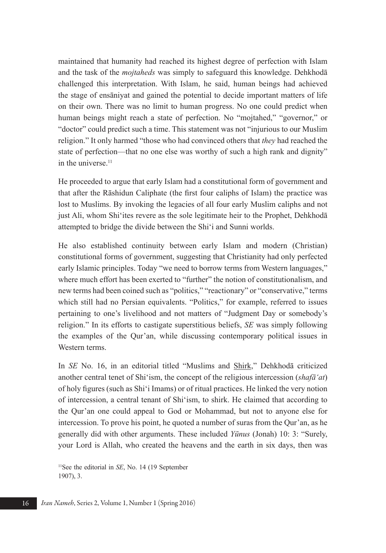maintained that humanity had reached its highest degree of perfection with Islam and the task of the *mojtaheds* was simply to safeguard this knowledge. Dehkhodā challenged this interpretation. With Islam, he said, human beings had achieved the stage of ensāniyat and gained the potential to decide important matters of life on their own. There was no limit to human progress. No one could predict when human beings might reach a state of perfection. No "mojtahed," "governor," or "doctor" could predict such a time. This statement was not "injurious to our Muslim religion." It only harmed "those who had convinced others that *they* had reached the state of perfection—that no one else was worthy of such a high rank and dignity" in the universe.<sup>11</sup>

He proceeded to argue that early Islam had a constitutional form of government and that after the Rāshidun Caliphate (the first four caliphs of Islam) the practice was lost to Muslims. By invoking the legacies of all four early Muslim caliphs and not just Ali, whom Shi'ites revere as the sole legitimate heir to the Prophet, Dehkhodā attempted to bridge the divide between the Shi'i and Sunni worlds.

He also established continuity between early Islam and modern (Christian) constitutional forms of government, suggesting that Christianity had only perfected early Islamic principles. Today "we need to borrow terms from Western languages," where much effort has been exerted to "further" the notion of constitutionalism, and new terms had been coined such as "politics," "reactionary" or "conservative," terms which still had no Persian equivalents. "Politics," for example, referred to issues pertaining to one's livelihood and not matters of "Judgment Day or somebody's religion." In its efforts to castigate superstitious beliefs, *SE* was simply following the examples of the Qur'an, while discussing contemporary political issues in Western terms.

In *SE* No. 16, in an editorial titled "Muslims and Shirk," Dehkhodā criticized another central tenet of Shi'ism, the concept of the religious intercession (*shafā'at*) of holy figures (such as Shi'i Imams) or of ritual practices. He linked the very notion of intercession, a central tenant of Shi'ism, to shirk. He claimed that according to the Qur'an one could appeal to God or Mohammad, but not to anyone else for intercession. To prove his point, he quoted a number of suras from the Qur'an, as he generally did with other arguments. These included *Yūnus* (Jonah) 10: 3: "Surely, your Lord is Allah, who created the heavens and the earth in six days, then was

<sup>11</sup>See the editorial in *SE*, No. 14 (19 September 1907), 3.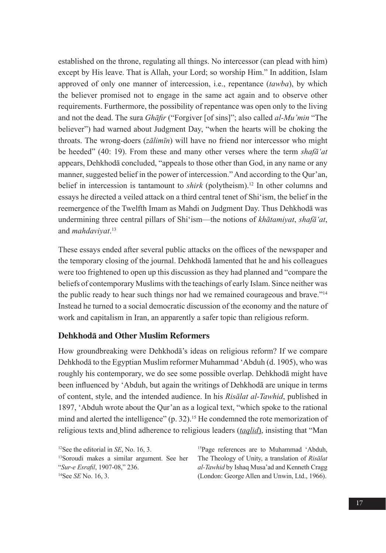established on the throne, regulating all things. No intercessor (can plead with him) except by His leave. That is Allah, your Lord; so worship Him." In addition, Islam approved of only one manner of intercession, i.e., repentance (*tawba*), by which the believer promised not to engage in the same act again and to observe other requirements. Furthermore, the possibility of repentance was open only to the living and not the dead. The sura *Ghāfir* ("Forgiver [of sins]"; also called *al-Mu'min* "The believer") had warned about Judgment Day, "when the hearts will be choking the throats. The wrong-doers (*zālimīn*) will have no friend nor intercessor who might be heeded" (40: 19). From these and many other verses where the term *shafā'at*  appears, Dehkhodā concluded, "appeals to those other than God, in any name or any manner, suggested belief in the power of intercession." And according to the Qur'an, belief in intercession is tantamount to *shirk* (polytheism).<sup>12</sup> In other columns and essays he directed a veiled attack on a third central tenet of Shi'ism, the belief in the reemergence of the Twelfth Imam as Mahdi on Judgment Day. Thus Dehkhodā was undermining three central pillars of Shi'ism—the notions of *khātamiyat*, *shafā'at*, and *mahdaviyat*. 13

These essays ended after several public attacks on the offices of the newspaper and the temporary closing of the journal. Dehkhodā lamented that he and his colleagues were too frightened to open up this discussion as they had planned and "compare the beliefs of contemporary Muslims with the teachings of early Islam. Since neither was the public ready to hear such things nor had we remained courageous and brave."14 Instead he turned to a social democratic discussion of the economy and the nature of work and capitalism in Iran, an apparently a safer topic than religious reform.

## **Dehkhodā and Other Muslim Reformers**

How groundbreaking were Dehkhodā's ideas on religious reform? If we compare Dehkhodā to the Egyptian Muslim reformer Muhammad 'Abduh (d. 1905), who was roughly his contemporary, we do see some possible overlap. Dehkhodā might have been influenced by 'Abduh, but again the writings of Dehkhodā are unique in terms of content, style, and the intended audience. In his *Risālat al-Tawhid*, published in 1897, 'Abduh wrote about the Qur'an as a logical text, "which spoke to the rational mind and alerted the intelligence" (p. 32).15 He condemned the rote memorization of religious texts and blind adherence to religious leaders (*taqlid*), insisting that "Man

15Page references are to Muhammad 'Abduh, The Theology of Unity, a translation of *Risālat al-Tawhid* by Ishaq Musa'ad and Kenneth Cragg (London: George Allen and Unwin, Ltd., 1966).

<sup>12</sup>See the editorial in *SE*, No. 16, 3.

<sup>13</sup>Soroudi makes a similar argument. See her

<sup>&</sup>quot;*Sur-e Esrafil*, 1907-08," 236.

<sup>14</sup>See *SE* No. 16, 3.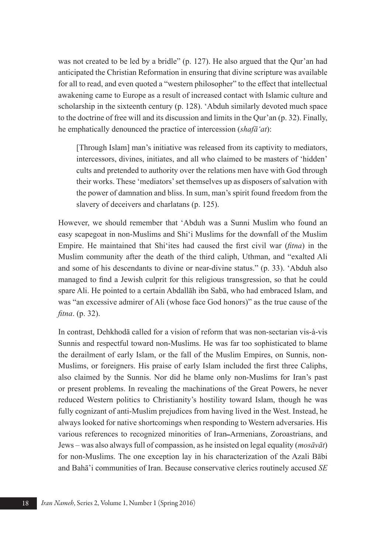was not created to be led by a bridle" (p. 127). He also argued that the Qur'an had anticipated the Christian Reformation in ensuring that divine scripture was available for all to read, and even quoted a "western philosopher" to the effect that intellectual awakening came to Europe as a result of increased contact with Islamic culture and scholarship in the sixteenth century (p. 128). 'Abduh similarly devoted much space to the doctrine of free will and its discussion and limits in the Qur'an (p. 32). Finally, he emphatically denounced the practice of intercession (*shafā'at*):

[Through Islam] man's initiative was released from its captivity to mediators, intercessors, divines, initiates, and all who claimed to be masters of 'hidden' cults and pretended to authority over the relations men have with God through their works. These 'mediators' set themselves up as disposers of salvation with the power of damnation and bliss. In sum, man's spirit found freedom from the slavery of deceivers and charlatans (p. 125).

However, we should remember that 'Abduh was a Sunni Muslim who found an easy scapegoat in non-Muslims and Shi'i Muslims for the downfall of the Muslim Empire. He maintained that Shi'ites had caused the first civil war (*fitna*) in the Muslim community after the death of the third caliph, Uthman, and "exalted Ali and some of his descendants to divine or near-divine status." (p. 33). 'Abduh also managed to find a Jewish culprit for this religious transgression, so that he could spare Ali. He pointed to a certain Abdallāh ibn Sabā, who had embraced Islam, and was "an excessive admirer of Ali (whose face God honors)" as the true cause of the *fitna*. (p. 32).

In contrast, Dehkhodā called for a vision of reform that was non-sectarian vis-à-vis Sunnis and respectful toward non-Muslims. He was far too sophisticated to blame the derailment of early Islam, or the fall of the Muslim Empires, on Sunnis, non-Muslims, or foreigners. His praise of early Islam included the first three Caliphs, also claimed by the Sunnis. Nor did he blame only non-Muslims for Iran's past or present problems. In revealing the machinations of the Great Powers, he never reduced Western politics to Christianity's hostility toward Islam, though he was fully cognizant of anti-Muslim prejudices from having lived in the West. Instead, he always looked for native shortcomings when responding to Western adversaries. His various references to recognized minorities of IranــArmenians, Zoroastrians, and Jews – was also always full of compassion, as he insisted on legal equality (*mosāvāt*) for non-Muslims. The one exception lay in his characterization of the Azali Bābi and Bahā'i communities of Iran. Because conservative clerics routinely accused *SE*